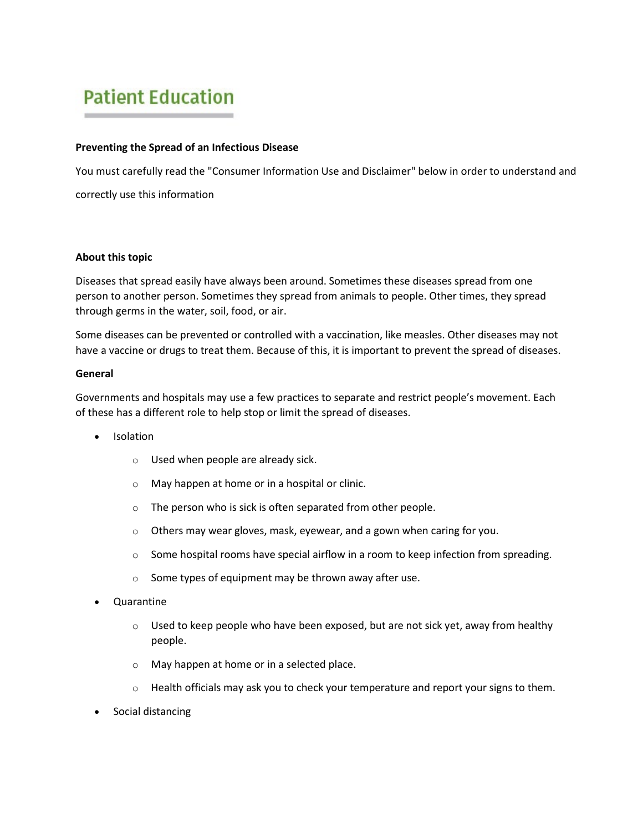# **Patient Education**

### **Preventing the Spread of an Infectious Disease**

You must carefully read the "Consumer Information Use and Disclaimer" below in order to understand and correctly use this information

### **About this topic**

Diseases that spread easily have always been around. Sometimes these diseases spread from one person to another person. Sometimes they spread from animals to people. Other times, they spread through germs in the water, soil, food, or air.

Some diseases can be prevented or controlled with a vaccination, like measles. Other diseases may not have a vaccine or drugs to treat them. Because of this, it is important to prevent the spread of diseases.

### **General**

Governments and hospitals may use a few practices to separate and restrict people's movement. Each of these has a different role to help stop or limit the spread of diseases.

- Isolation
	- o Used when people are already sick.
	- o May happen at home or in a hospital or clinic.
	- $\circ$  The person who is sick is often separated from other people.
	- o Others may wear gloves, mask, eyewear, and a gown when caring for you.
	- $\circ$  Some hospital rooms have special airflow in a room to keep infection from spreading.
	- $\circ$  Some types of equipment may be thrown away after use.
- Quarantine
	- $\circ$  Used to keep people who have been exposed, but are not sick yet, away from healthy people.
	- o May happen at home or in a selected place.
	- $\circ$  Health officials may ask you to check your temperature and report your signs to them.
- Social distancing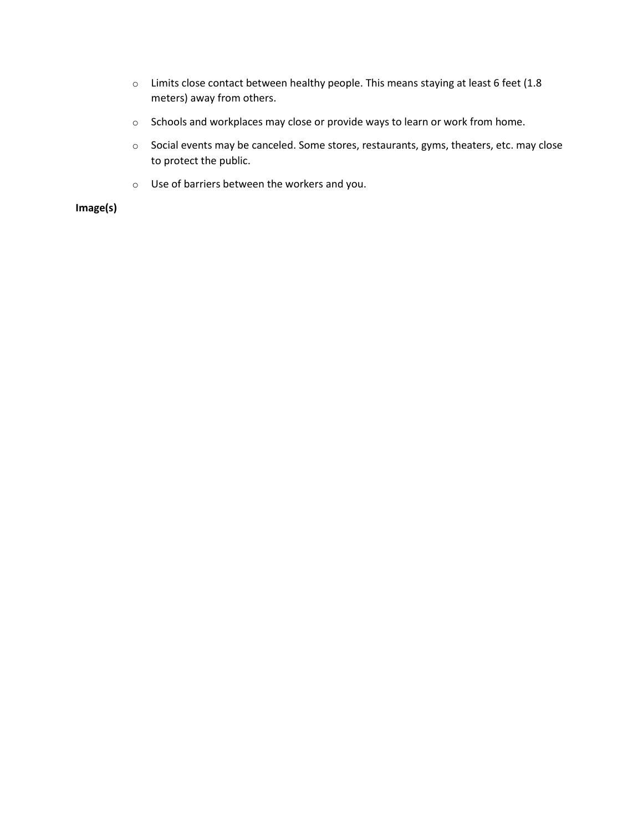- o Limits close contact between healthy people. This means staying at least 6 feet (1.8 meters) away from others.
- o Schools and workplaces may close or provide ways to learn or work from home.
- o Social events may be canceled. Some stores, restaurants, gyms, theaters, etc. may close to protect the public.
- o Use of barriers between the workers and you.

**Image(s)**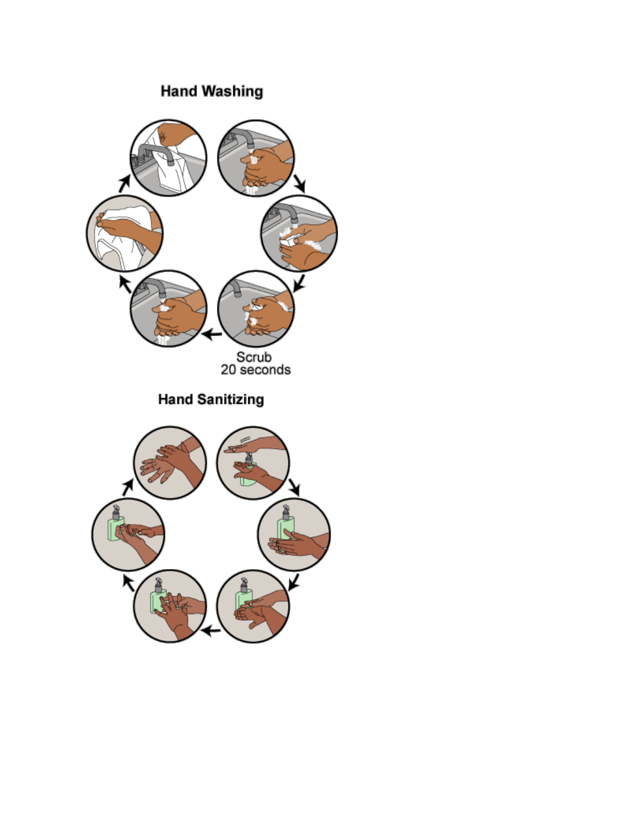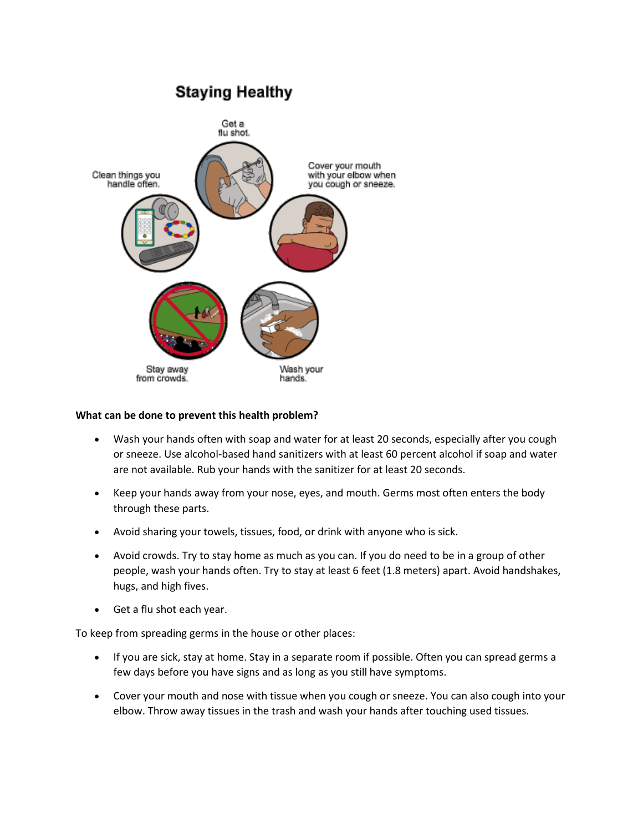# **Staying Healthy**



### **What can be done to prevent this health problem?**

- Wash your hands often with soap and water for at least 20 seconds, especially after you cough or sneeze. Use alcohol-based hand sanitizers with at least 60 percent alcohol if soap and water are not available. Rub your hands with the sanitizer for at least 20 seconds.
- Keep your hands away from your nose, eyes, and mouth. Germs most often enters the body through these parts.
- Avoid sharing your towels, tissues, food, or drink with anyone who is sick.
- Avoid crowds. Try to stay home as much as you can. If you do need to be in a group of other people, wash your hands often. Try to stay at least 6 feet (1.8 meters) apart. Avoid handshakes, hugs, and high fives.
- Get a flu shot each year.

To keep from spreading germs in the house or other places:

- If you are sick, stay at home. Stay in a separate room if possible. Often you can spread germs a few days before you have signs and as long as you still have symptoms.
- Cover your mouth and nose with tissue when you cough or sneeze. You can also cough into your elbow. Throw away tissues in the trash and wash your hands after touching used tissues.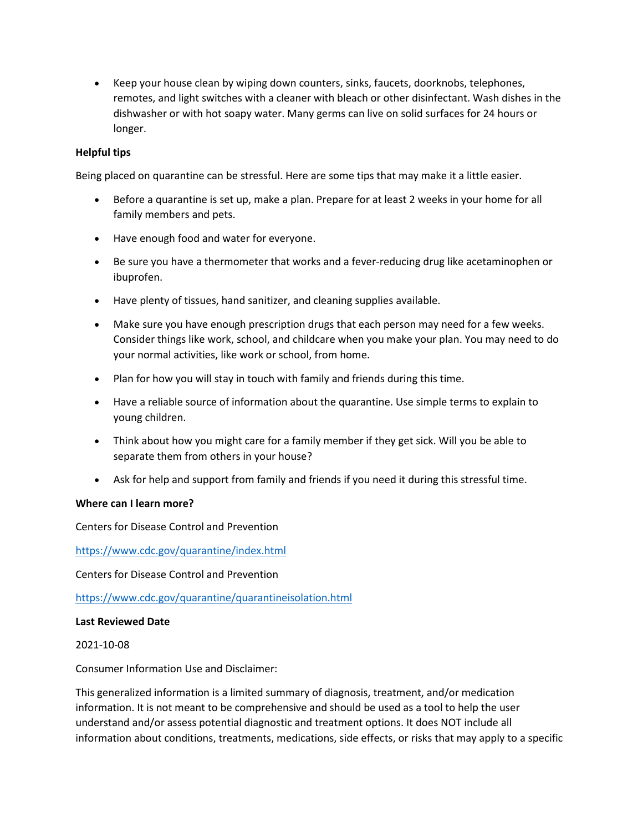• Keep your house clean by wiping down counters, sinks, faucets, doorknobs, telephones, remotes, and light switches with a cleaner with bleach or other disinfectant. Wash dishes in the dishwasher or with hot soapy water. Many germs can live on solid surfaces for 24 hours or longer.

# **Helpful tips**

Being placed on quarantine can be stressful. Here are some tips that may make it a little easier.

- Before a quarantine is set up, make a plan. Prepare for at least 2 weeks in your home for all family members and pets.
- Have enough food and water for everyone.
- Be sure you have a thermometer that works and a fever-reducing drug like acetaminophen or ibuprofen.
- Have plenty of tissues, hand sanitizer, and cleaning supplies available.
- Make sure you have enough prescription drugs that each person may need for a few weeks. Consider things like work, school, and childcare when you make your plan. You may need to do your normal activities, like work or school, from home.
- Plan for how you will stay in touch with family and friends during this time.
- Have a reliable source of information about the quarantine. Use simple terms to explain to young children.
- Think about how you might care for a family member if they get sick. Will you be able to separate them from others in your house?
- Ask for help and support from family and friends if you need it during this stressful time.

## **Where can I learn more?**

Centers for Disease Control and Prevention

<https://www.cdc.gov/quarantine/index.html>

Centers for Disease Control and Prevention

<https://www.cdc.gov/quarantine/quarantineisolation.html>

#### **Last Reviewed Date**

2021-10-08

Consumer Information Use and Disclaimer:

This generalized information is a limited summary of diagnosis, treatment, and/or medication information. It is not meant to be comprehensive and should be used as a tool to help the user understand and/or assess potential diagnostic and treatment options. It does NOT include all information about conditions, treatments, medications, side effects, or risks that may apply to a specific